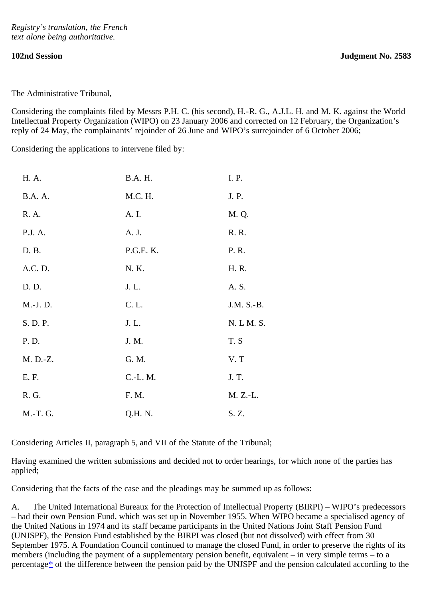The Administrative Tribunal,

Considering the complaints filed by Messrs P.H. C. (his second), H.-R. G., A.J.L. H. and M. K. against the World Intellectual Property Organization (WIPO) on 23 January 2006 and corrected on 12 February, the Organization's reply of 24 May, the complainants' rejoinder of 26 June and WIPO's surrejoinder of 6 October 2006;

Considering the applications to intervene filed by:

| H. A.          | B.A. H.   | I. P.      |
|----------------|-----------|------------|
| <b>B.A.</b> A. | M.C. H.   | J. P.      |
| R. A.          | A. I.     | M. Q.      |
| P.J. A.        | A. J.     | R. R.      |
| D. B.          | P.G.E. K. | P. R.      |
| A.C. D.        | N. K.     | H. R.      |
| D. D.          | J. L.     | A. S.      |
| M.-J.D.        | C. L.     | J.M. S.-B. |
| S. D. P.       | J. L.     | N. L M. S. |
| P. D.          | J. M.     | T.S        |
| M. D.-Z.       | G. M.     | V.T        |
| E. F.          | C.-L. M.  | J. T.      |
| R. G.          | F. M.     | M. Z.-L.   |
| M.-T. G.       | Q.H. N.   | S. Z.      |

Considering Articles II, paragraph 5, and VII of the Statute of the Tribunal;

Having examined the written submissions and decided not to order hearings, for which none of the parties has applied;

Considering that the facts of the case and the pleadings may be summed up as follows:

<span id="page-0-0"></span>A. The United International Bureaux for the Protection of Intellectual Property (BIRPI) – WIPO's predecessors – had their own Pension Fund, which was set up in November 1955. When WIPO became a specialised agency of the United Nations in 1974 and its staff became participants in the United Nations Joint Staff Pension Fund (UNJSPF), the Pension Fund established by the BIRPI was closed (but not dissolved) with effect from 30 September 1975. A Foundation Council continued to manage the closed Fund, in order to preserve the rights of its members (including the payment of a supplementary pension benefit, equivalent – in very simple terms – to a percentage[\\*](#page-7-0) of the difference between the pension paid by the UNJSPF and the pension calculated according to the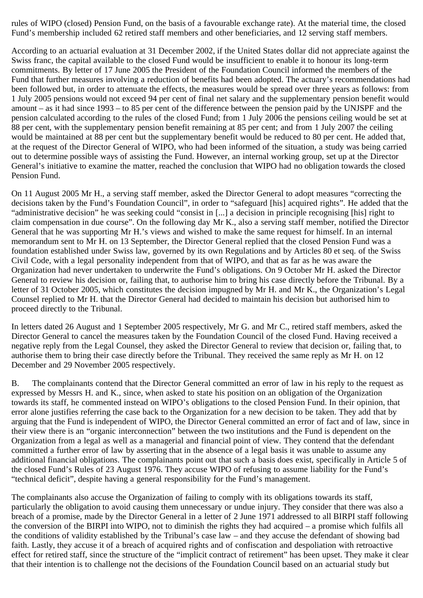rules of WIPO (closed) Pension Fund, on the basis of a favourable exchange rate). At the material time, the closed Fund's membership included 62 retired staff members and other beneficiaries, and 12 serving staff members.

According to an actuarial evaluation at 31 December 2002, if the United States dollar did not appreciate against the Swiss franc, the capital available to the closed Fund would be insufficient to enable it to honour its long-term commitments. By letter of 17 June 2005 the President of the Foundation Council informed the members of the Fund that further measures involving a reduction of benefits had been adopted. The actuary's recommendations had been followed but, in order to attenuate the effects, the measures would be spread over three years as follows: from 1 July 2005 pensions would not exceed 94 per cent of final net salary and the supplementary pension benefit would amount – as it had since 1993 – to 85 per cent of the difference between the pension paid by the UNJSPF and the pension calculated according to the rules of the closed Fund; from 1 July 2006 the pensions ceiling would be set at 88 per cent, with the supplementary pension benefit remaining at 85 per cent; and from 1 July 2007 the ceiling would be maintained at 88 per cent but the supplementary benefit would be reduced to 80 per cent. He added that, at the request of the Director General of WIPO, who had been informed of the situation, a study was being carried out to determine possible ways of assisting the Fund. However, an internal working group, set up at the Director General's initiative to examine the matter, reached the conclusion that WIPO had no obligation towards the closed Pension Fund.

On 11 August 2005 Mr H., a serving staff member, asked the Director General to adopt measures "correcting the decisions taken by the Fund's Foundation Council", in order to "safeguard [his] acquired rights". He added that the "administrative decision" he was seeking could "consist in [...] a decision in principle recognising [his] right to claim compensation in due course". On the following day Mr K., also a serving staff member, notified the Director General that he was supporting Mr H.'s views and wished to make the same request for himself. In an internal memorandum sent to Mr H. on 13 September, the Director General replied that the closed Pension Fund was a foundation established under Swiss law, governed by its own Regulations and by Articles 80 et seq. of the Swiss Civil Code, with a legal personality independent from that of WIPO, and that as far as he was aware the Organization had never undertaken to underwrite the Fund's obligations. On 9 October Mr H. asked the Director General to review his decision or, failing that, to authorise him to bring his case directly before the Tribunal. By a letter of 31 October 2005, which constitutes the decision impugned by Mr H. and Mr K., the Organization's Legal Counsel replied to Mr H. that the Director General had decided to maintain his decision but authorised him to proceed directly to the Tribunal.

In letters dated 26 August and 1 September 2005 respectively, Mr G. and Mr C., retired staff members, asked the Director General to cancel the measures taken by the Foundation Council of the closed Fund. Having received a negative reply from the Legal Counsel, they asked the Director General to review that decision or, failing that, to authorise them to bring their case directly before the Tribunal. They received the same reply as Mr H. on 12 December and 29 November 2005 respectively.

B. The complainants contend that the Director General committed an error of law in his reply to the request as expressed by Messrs H. and K., since, when asked to state his position on an obligation of the Organization towards its staff, he commented instead on WIPO's obligations to the closed Pension Fund. In their opinion, that error alone justifies referring the case back to the Organization for a new decision to be taken. They add that by arguing that the Fund is independent of WIPO, the Director General committed an error of fact and of law, since in their view there is an "organic interconnection" between the two institutions and the Fund is dependent on the Organization from a legal as well as a managerial and financial point of view. They contend that the defendant committed a further error of law by asserting that in the absence of a legal basis it was unable to assume any additional financial obligations. The complainants point out that such a basis does exist, specifically in Article 5 of the closed Fund's Rules of 23 August 1976. They accuse WIPO of refusing to assume liability for the Fund's "technical deficit", despite having a general responsibility for the Fund's management.

The complainants also accuse the Organization of failing to comply with its obligations towards its staff, particularly the obligation to avoid causing them unnecessary or undue injury. They consider that there was also a breach of a promise, made by the Director General in a letter of 2 June 1971 addressed to all BIRPI staff following the conversion of the BIRPI into WIPO, not to diminish the rights they had acquired – a promise which fulfils all the conditions of validity established by the Tribunal's case law – and they accuse the defendant of showing bad faith. Lastly, they accuse it of a breach of acquired rights and of confiscation and despoliation with retroactive effect for retired staff, since the structure of the "implicit contract of retirement" has been upset. They make it clear that their intention is to challenge not the decisions of the Foundation Council based on an actuarial study but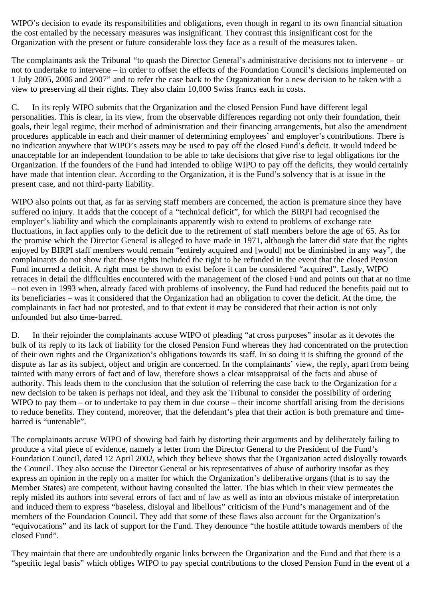WIPO's decision to evade its responsibilities and obligations, even though in regard to its own financial situation the cost entailed by the necessary measures was insignificant. They contrast this insignificant cost for the Organization with the present or future considerable loss they face as a result of the measures taken.

The complainants ask the Tribunal "to quash the Director General's administrative decisions not to intervene – or not to undertake to intervene – in order to offset the effects of the Foundation Council's decisions implemented on 1 July 2005, 2006 and 2007" and to refer the case back to the Organization for a new decision to be taken with a view to preserving all their rights. They also claim 10,000 Swiss francs each in costs.

C. In its reply WIPO submits that the Organization and the closed Pension Fund have different legal personalities. This is clear, in its view, from the observable differences regarding not only their foundation, their goals, their legal regime, their method of administration and their financing arrangements, but also the amendment procedures applicable in each and their manner of determining employees' and employer's contributions. There is no indication anywhere that WIPO's assets may be used to pay off the closed Fund's deficit. It would indeed be unacceptable for an independent foundation to be able to take decisions that give rise to legal obligations for the Organization. If the founders of the Fund had intended to oblige WIPO to pay off the deficits, they would certainly have made that intention clear. According to the Organization, it is the Fund's solvency that is at issue in the present case, and not third-party liability.

WIPO also points out that, as far as serving staff members are concerned, the action is premature since they have suffered no injury. It adds that the concept of a "technical deficit", for which the BIRPI had recognised the employer's liability and which the complainants apparently wish to extend to problems of exchange rate fluctuations, in fact applies only to the deficit due to the retirement of staff members before the age of 65. As for the promise which the Director General is alleged to have made in 1971, although the latter did state that the rights enjoyed by BIRPI staff members would remain "entirely acquired and [would] not be diminished in any way", the complainants do not show that those rights included the right to be refunded in the event that the closed Pension Fund incurred a deficit. A right must be shown to exist before it can be considered "acquired". Lastly, WIPO retraces in detail the difficulties encountered with the management of the closed Fund and points out that at no time – not even in 1993 when, already faced with problems of insolvency, the Fund had reduced the benefits paid out to its beneficiaries – was it considered that the Organization had an obligation to cover the deficit. At the time, the complainants in fact had not protested, and to that extent it may be considered that their action is not only unfounded but also time-barred.

D. In their rejoinder the complainants accuse WIPO of pleading "at cross purposes" insofar as it devotes the bulk of its reply to its lack of liability for the closed Pension Fund whereas they had concentrated on the protection of their own rights and the Organization's obligations towards its staff. In so doing it is shifting the ground of the dispute as far as its subject, object and origin are concerned. In the complainants' view, the reply, apart from being tainted with many errors of fact and of law, therefore shows a clear misappraisal of the facts and abuse of authority. This leads them to the conclusion that the solution of referring the case back to the Organization for a new decision to be taken is perhaps not ideal, and they ask the Tribunal to consider the possibility of ordering WIPO to pay them – or to undertake to pay them in due course – their income shortfall arising from the decisions to reduce benefits. They contend, moreover, that the defendant's plea that their action is both premature and timebarred is "untenable".

The complainants accuse WIPO of showing bad faith by distorting their arguments and by deliberately failing to produce a vital piece of evidence, namely a letter from the Director General to the President of the Fund's Foundation Council, dated 12 April 2002, which they believe shows that the Organization acted disloyally towards the Council. They also accuse the Director General or his representatives of abuse of authority insofar as they express an opinion in the reply on a matter for which the Organization's deliberative organs (that is to say the Member States) are competent, without having consulted the latter. The bias which in their view permeates the reply misled its authors into several errors of fact and of law as well as into an obvious mistake of interpretation and induced them to express "baseless, disloyal and libellous" criticism of the Fund's management and of the members of the Foundation Council. They add that some of these flaws also account for the Organization's "equivocations" and its lack of support for the Fund. They denounce "the hostile attitude towards members of the closed Fund".

They maintain that there are undoubtedly organic links between the Organization and the Fund and that there is a "specific legal basis" which obliges WIPO to pay special contributions to the closed Pension Fund in the event of a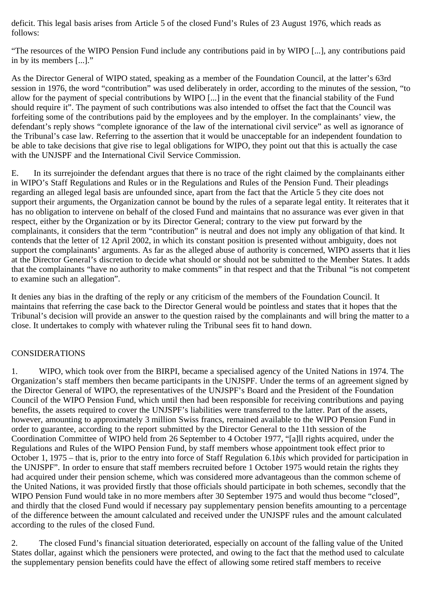deficit. This legal basis arises from Article 5 of the closed Fund's Rules of 23 August 1976, which reads as follows:

"The resources of the WIPO Pension Fund include any contributions paid in by WIPO [...], any contributions paid in by its members [...]."

As the Director General of WIPO stated, speaking as a member of the Foundation Council, at the latter's 63rd session in 1976, the word "contribution" was used deliberately in order, according to the minutes of the session, "to allow for the payment of special contributions by WIPO [...] in the event that the financial stability of the Fund should require it". The payment of such contributions was also intended to offset the fact that the Council was forfeiting some of the contributions paid by the employees and by the employer. In the complainants' view, the defendant's reply shows "complete ignorance of the law of the international civil service" as well as ignorance of the Tribunal's case law. Referring to the assertion that it would be unacceptable for an independent foundation to be able to take decisions that give rise to legal obligations for WIPO, they point out that this is actually the case with the UNJSPF and the International Civil Service Commission.

E. In its surrejoinder the defendant argues that there is no trace of the right claimed by the complainants either in WIPO's Staff Regulations and Rules or in the Regulations and Rules of the Pension Fund. Their pleadings regarding an alleged legal basis are unfounded since, apart from the fact that the Article 5 they cite does not support their arguments, the Organization cannot be bound by the rules of a separate legal entity. It reiterates that it has no obligation to intervene on behalf of the closed Fund and maintains that no assurance was ever given in that respect, either by the Organization or by its Director General; contrary to the view put forward by the complainants, it considers that the term "contribution" is neutral and does not imply any obligation of that kind. It contends that the letter of 12 April 2002, in which its constant position is presented without ambiguity, does not support the complainants' arguments. As far as the alleged abuse of authority is concerned, WIPO asserts that it lies at the Director General's discretion to decide what should or should not be submitted to the Member States. It adds that the complainants "have no authority to make comments" in that respect and that the Tribunal "is not competent to examine such an allegation".

It denies any bias in the drafting of the reply or any criticism of the members of the Foundation Council. It maintains that referring the case back to the Director General would be pointless and states that it hopes that the Tribunal's decision will provide an answer to the question raised by the complainants and will bring the matter to a close. It undertakes to comply with whatever ruling the Tribunal sees fit to hand down.

## CONSIDERATIONS

1. WIPO, which took over from the BIRPI, became a specialised agency of the United Nations in 1974. The Organization's staff members then became participants in the UNJSPF. Under the terms of an agreement signed by the Director General of WIPO, the representatives of the UNJSPF's Board and the President of the Foundation Council of the WIPO Pension Fund, which until then had been responsible for receiving contributions and paying benefits, the assets required to cover the UNJSPF's liabilities were transferred to the latter. Part of the assets, however, amounting to approximately 3 million Swiss francs, remained available to the WIPO Pension Fund in order to guarantee, according to the report submitted by the Director General to the 11th session of the Coordination Committee of WIPO held from 26 September to 4 October 1977, "[a]ll rights acquired, under the Regulations and Rules of the WIPO Pension Fund, by staff members whose appointment took effect prior to October 1, 1975 – that is, prior to the entry into force of Staff Regulation 6.1*bis* which provided for participation in the UNJSPF". In order to ensure that staff members recruited before 1 October 1975 would retain the rights they had acquired under their pension scheme, which was considered more advantageous than the common scheme of the United Nations, it was provided firstly that those officials should participate in both schemes, secondly that the WIPO Pension Fund would take in no more members after 30 September 1975 and would thus become "closed", and thirdly that the closed Fund would if necessary pay supplementary pension benefits amounting to a percentage of the difference between the amount calculated and received under the UNJSPF rules and the amount calculated according to the rules of the closed Fund.

2. The closed Fund's financial situation deteriorated, especially on account of the falling value of the United States dollar, against which the pensioners were protected, and owing to the fact that the method used to calculate the supplementary pension benefits could have the effect of allowing some retired staff members to receive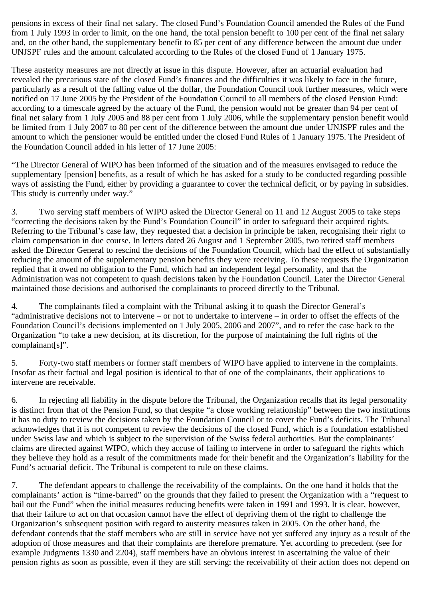pensions in excess of their final net salary. The closed Fund's Foundation Council amended the Rules of the Fund from 1 July 1993 in order to limit, on the one hand, the total pension benefit to 100 per cent of the final net salary and, on the other hand, the supplementary benefit to 85 per cent of any difference between the amount due under UNJSPF rules and the amount calculated according to the Rules of the closed Fund of 1 January 1975.

These austerity measures are not directly at issue in this dispute. However, after an actuarial evaluation had revealed the precarious state of the closed Fund's finances and the difficulties it was likely to face in the future, particularly as a result of the falling value of the dollar, the Foundation Council took further measures, which were notified on 17 June 2005 by the President of the Foundation Council to all members of the closed Pension Fund: according to a timescale agreed by the actuary of the Fund, the pension would not be greater than 94 per cent of final net salary from 1 July 2005 and 88 per cent from 1 July 2006, while the supplementary pension benefit would be limited from 1 July 2007 to 80 per cent of the difference between the amount due under UNJSPF rules and the amount to which the pensioner would be entitled under the closed Fund Rules of 1 January 1975. The President of the Foundation Council added in his letter of 17 June 2005:

"The Director General of WIPO has been informed of the situation and of the measures envisaged to reduce the supplementary [pension] benefits, as a result of which he has asked for a study to be conducted regarding possible ways of assisting the Fund, either by providing a guarantee to cover the technical deficit, or by paying in subsidies. This study is currently under way."

3. Two serving staff members of WIPO asked the Director General on 11 and 12 August 2005 to take steps "correcting the decisions taken by the Fund's Foundation Council" in order to safeguard their acquired rights. Referring to the Tribunal's case law, they requested that a decision in principle be taken, recognising their right to claim compensation in due course. In letters dated 26 August and 1 September 2005, two retired staff members asked the Director General to rescind the decisions of the Foundation Council, which had the effect of substantially reducing the amount of the supplementary pension benefits they were receiving. To these requests the Organization replied that it owed no obligation to the Fund, which had an independent legal personality, and that the Administration was not competent to quash decisions taken by the Foundation Council. Later the Director General maintained those decisions and authorised the complainants to proceed directly to the Tribunal.

4. The complainants filed a complaint with the Tribunal asking it to quash the Director General's "administrative decisions not to intervene – or not to undertake to intervene – in order to offset the effects of the Foundation Council's decisions implemented on 1 July 2005, 2006 and 2007", and to refer the case back to the Organization "to take a new decision, at its discretion, for the purpose of maintaining the full rights of the complainant[s]".

5. Forty-two staff members or former staff members of WIPO have applied to intervene in the complaints. Insofar as their factual and legal position is identical to that of one of the complainants, their applications to intervene are receivable.

6. In rejecting all liability in the dispute before the Tribunal, the Organization recalls that its legal personality is distinct from that of the Pension Fund, so that despite "a close working relationship" between the two institutions it has no duty to review the decisions taken by the Foundation Council or to cover the Fund's deficits. The Tribunal acknowledges that it is not competent to review the decisions of the closed Fund, which is a foundation established under Swiss law and which is subject to the supervision of the Swiss federal authorities. But the complainants' claims are directed against WIPO, which they accuse of failing to intervene in order to safeguard the rights which they believe they hold as a result of the commitments made for their benefit and the Organization's liability for the Fund's actuarial deficit. The Tribunal is competent to rule on these claims.

7. The defendant appears to challenge the receivability of the complaints. On the one hand it holds that the complainants' action is "time-barred" on the grounds that they failed to present the Organization with a "request to bail out the Fund" when the initial measures reducing benefits were taken in 1991 and 1993. It is clear, however, that their failure to act on that occasion cannot have the effect of depriving them of the right to challenge the Organization's subsequent position with regard to austerity measures taken in 2005. On the other hand, the defendant contends that the staff members who are still in service have not yet suffered any injury as a result of the adoption of those measures and that their complaints are therefore premature. Yet according to precedent (see for example Judgments 1330 and 2204), staff members have an obvious interest in ascertaining the value of their pension rights as soon as possible, even if they are still serving: the receivability of their action does not depend on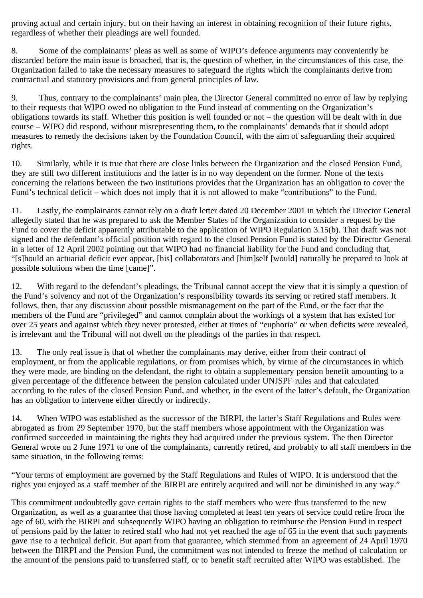proving actual and certain injury, but on their having an interest in obtaining recognition of their future rights, regardless of whether their pleadings are well founded.

8. Some of the complainants' pleas as well as some of WIPO's defence arguments may conveniently be discarded before the main issue is broached, that is, the question of whether, in the circumstances of this case, the Organization failed to take the necessary measures to safeguard the rights which the complainants derive from contractual and statutory provisions and from general principles of law.

9. Thus, contrary to the complainants' main plea, the Director General committed no error of law by replying to their requests that WIPO owed no obligation to the Fund instead of commenting on the Organization's obligations towards its staff. Whether this position is well founded or not – the question will be dealt with in due course – WIPO did respond, without misrepresenting them, to the complainants' demands that it should adopt measures to remedy the decisions taken by the Foundation Council, with the aim of safeguarding their acquired rights.

10. Similarly, while it is true that there are close links between the Organization and the closed Pension Fund, they are still two different institutions and the latter is in no way dependent on the former. None of the texts concerning the relations between the two institutions provides that the Organization has an obligation to cover the Fund's technical deficit – which does not imply that it is not allowed to make "contributions" to the Fund.

11. Lastly, the complainants cannot rely on a draft letter dated 20 December 2001 in which the Director General allegedly stated that he was prepared to ask the Member States of the Organization to consider a request by the Fund to cover the deficit apparently attributable to the application of WIPO Regulation 3.15(b). That draft was not signed and the defendant's official position with regard to the closed Pension Fund is stated by the Director General in a letter of 12 April 2002 pointing out that WIPO had no financial liability for the Fund and concluding that, "[s]hould an actuarial deficit ever appear, [his] collaborators and [him]self [would] naturally be prepared to look at possible solutions when the time [came]".

12. With regard to the defendant's pleadings, the Tribunal cannot accept the view that it is simply a question of the Fund's solvency and not of the Organization's responsibility towards its serving or retired staff members. It follows, then, that any discussion about possible mismanagement on the part of the Fund, or the fact that the members of the Fund are "privileged" and cannot complain about the workings of a system that has existed for over 25 years and against which they never protested, either at times of "euphoria" or when deficits were revealed, is irrelevant and the Tribunal will not dwell on the pleadings of the parties in that respect.

13. The only real issue is that of whether the complainants may derive, either from their contract of employment, or from the applicable regulations, or from promises which, by virtue of the circumstances in which they were made, are binding on the defendant, the right to obtain a supplementary pension benefit amounting to a given percentage of the difference between the pension calculated under UNJSPF rules and that calculated according to the rules of the closed Pension Fund, and whether, in the event of the latter's default, the Organization has an obligation to intervene either directly or indirectly.

14. When WIPO was established as the successor of the BIRPI, the latter's Staff Regulations and Rules were abrogated as from 29 September 1970, but the staff members whose appointment with the Organization was confirmed succeeded in maintaining the rights they had acquired under the previous system. The then Director General wrote on 2 June 1971 to one of the complainants, currently retired, and probably to all staff members in the same situation, in the following terms:

"Your terms of employment are governed by the Staff Regulations and Rules of WIPO. It is understood that the rights you enjoyed as a staff member of the BIRPI are entirely acquired and will not be diminished in any way."

This commitment undoubtedly gave certain rights to the staff members who were thus transferred to the new Organization, as well as a guarantee that those having completed at least ten years of service could retire from the age of 60, with the BIRPI and subsequently WIPO having an obligation to reimburse the Pension Fund in respect of pensions paid by the latter to retired staff who had not yet reached the age of 65 in the event that such payments gave rise to a technical deficit. But apart from that guarantee, which stemmed from an agreement of 24 April 1970 between the BIRPI and the Pension Fund, the commitment was not intended to freeze the method of calculation or the amount of the pensions paid to transferred staff, or to benefit staff recruited after WIPO was established. The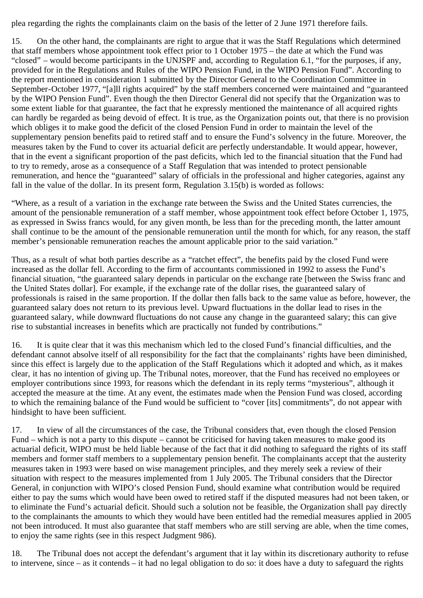plea regarding the rights the complainants claim on the basis of the letter of 2 June 1971 therefore fails.

15. On the other hand, the complainants are right to argue that it was the Staff Regulations which determined that staff members whose appointment took effect prior to 1 October 1975 – the date at which the Fund was "closed" – would become participants in the UNJSPF and, according to Regulation 6.1, "for the purposes, if any, provided for in the Regulations and Rules of the WIPO Pension Fund, in the WIPO Pension Fund". According to the report mentioned in consideration 1 submitted by the Director General to the Coordination Committee in September-October 1977, "[a]ll rights acquired" by the staff members concerned were maintained and "guaranteed by the WIPO Pension Fund". Even though the then Director General did not specify that the Organization was to some extent liable for that guarantee, the fact that he expressly mentioned the maintenance of all acquired rights can hardly be regarded as being devoid of effect. It is true, as the Organization points out, that there is no provision which obliges it to make good the deficit of the closed Pension Fund in order to maintain the level of the supplementary pension benefits paid to retired staff and to ensure the Fund's solvency in the future. Moreover, the measures taken by the Fund to cover its actuarial deficit are perfectly understandable. It would appear, however, that in the event a significant proportion of the past deficits, which led to the financial situation that the Fund had to try to remedy, arose as a consequence of a Staff Regulation that was intended to protect pensionable remuneration, and hence the "guaranteed" salary of officials in the professional and higher categories, against any fall in the value of the dollar. In its present form, Regulation 3.15(b) is worded as follows:

"Where, as a result of a variation in the exchange rate between the Swiss and the United States currencies, the amount of the pensionable remuneration of a staff member, whose appointment took effect before October 1, 1975, as expressed in Swiss francs would, for any given month, be less than for the preceding month, the latter amount shall continue to be the amount of the pensionable remuneration until the month for which, for any reason, the staff member's pensionable remuneration reaches the amount applicable prior to the said variation."

Thus, as a result of what both parties describe as a "ratchet effect", the benefits paid by the closed Fund were increased as the dollar fell. According to the firm of accountants commissioned in 1992 to assess the Fund's financial situation, "the guaranteed salary depends in particular on the exchange rate [between the Swiss franc and the United States dollar]. For example, if the exchange rate of the dollar rises, the guaranteed salary of professionals is raised in the same proportion. If the dollar then falls back to the same value as before, however, the guaranteed salary does not return to its previous level. Upward fluctuations in the dollar lead to rises in the guaranteed salary, while downward fluctuations do not cause any change in the guaranteed salary; this can give rise to substantial increases in benefits which are practically not funded by contributions."

16. It is quite clear that it was this mechanism which led to the closed Fund's financial difficulties, and the defendant cannot absolve itself of all responsibility for the fact that the complainants' rights have been diminished, since this effect is largely due to the application of the Staff Regulations which it adopted and which, as it makes clear, it has no intention of giving up. The Tribunal notes, moreover, that the Fund has received no employees or employer contributions since 1993, for reasons which the defendant in its reply terms "mysterious", although it accepted the measure at the time. At any event, the estimates made when the Pension Fund was closed, according to which the remaining balance of the Fund would be sufficient to "cover [its] commitments", do not appear with hindsight to have been sufficient.

17. In view of all the circumstances of the case, the Tribunal considers that, even though the closed Pension Fund – which is not a party to this dispute – cannot be criticised for having taken measures to make good its actuarial deficit, WIPO must be held liable because of the fact that it did nothing to safeguard the rights of its staff members and former staff members to a supplementary pension benefit. The complainants accept that the austerity measures taken in 1993 were based on wise management principles, and they merely seek a review of their situation with respect to the measures implemented from 1 July 2005. The Tribunal considers that the Director General, in conjunction with WIPO's closed Pension Fund, should examine what contribution would be required either to pay the sums which would have been owed to retired staff if the disputed measures had not been taken, or to eliminate the Fund's actuarial deficit. Should such a solution not be feasible, the Organization shall pay directly to the complainants the amounts to which they would have been entitled had the remedial measures applied in 2005 not been introduced. It must also guarantee that staff members who are still serving are able, when the time comes, to enjoy the same rights (see in this respect Judgment 986).

18. The Tribunal does not accept the defendant's argument that it lay within its discretionary authority to refuse to intervene, since – as it contends – it had no legal obligation to do so: it does have a duty to safeguard the rights